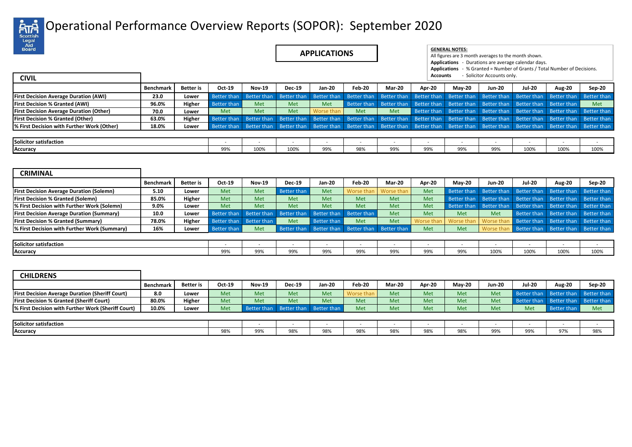

## Operational Performance Overview Reports (SOPOR): September 2020

| Legar<br>_Aid<br><b>Board</b><br><b>CIVIL</b>          |                  |                  |                    |                    | <b>APPLICATIONS</b> |                    |                    |                    | <b>GENERAL NOTES:</b><br>All figures are 3 month averages to the month shown.<br>Applications - Durations are average calendar days.<br>Applications - % Granted = Number of Grants / Total Number of Decisions.<br>- Solicitor Accounts only.<br><b>Accounts</b> |                    |               |                    |                    |                    |  |  |
|--------------------------------------------------------|------------------|------------------|--------------------|--------------------|---------------------|--------------------|--------------------|--------------------|-------------------------------------------------------------------------------------------------------------------------------------------------------------------------------------------------------------------------------------------------------------------|--------------------|---------------|--------------------|--------------------|--------------------|--|--|
|                                                        | Benchmark        | <b>Better</b> is | Oct-19             | <b>Nov-19</b>      | Dec-19              | <b>Jan-20</b>      | Feb-20             | Mar-20             | Apr-20                                                                                                                                                                                                                                                            | $May-20$           | <b>Jun-20</b> | <b>Jul-20</b>      | <b>Aug-20</b>      | Sep-20             |  |  |
| <b>First Decision Average Duration (AWI)</b>           | 23.0             | Lower            | <b>Better than</b> | <b>Better than</b> | <b>Better than</b>  | <b>Better than</b> | <b>Better than</b> | <b>Better than</b> | Better than                                                                                                                                                                                                                                                       | <b>Better than</b> | Better than   | Better than        | Better than        | <b>Better than</b> |  |  |
| <b>First Decision % Granted (AWI)</b>                  | 96.0%            | Higher           | <b>Better than</b> | Met                | Met                 | Met                | <b>Better than</b> | <b>Better than</b> | Better than                                                                                                                                                                                                                                                       | Better than        | Better than   | Better than        | <b>Better than</b> | Met                |  |  |
| <b>First Decision Average Duration (Other)</b>         | 70.0             | Lower            | Met                | Met                | Met                 | Worse than         | Met                | Met                | Better than                                                                                                                                                                                                                                                       | Better than        | Better than   | Better than        | Better than        | Better than        |  |  |
| <b>First Decision % Granted (Other)</b>                | 63.0%            | Higher           | <b>Better than</b> | <b>Better than</b> | <b>Better than</b>  | Better than        | Better than        | <b>Better than</b> | Better than                                                                                                                                                                                                                                                       | <b>Better than</b> | Better than   | <b>Better than</b> | Better than        | <b>Better than</b> |  |  |
| % First Decision with Further Work (Other)             | 18.0%            | Lower            | Better than        | Better than        | Better than         | Better than        | Better than        | Better than        | Better than                                                                                                                                                                                                                                                       | Better than        | Better than   | Better than        | Better than        | <b>Better than</b> |  |  |
| <b>Solicitor satisfaction</b>                          |                  |                  |                    |                    |                     |                    |                    |                    |                                                                                                                                                                                                                                                                   |                    |               |                    |                    |                    |  |  |
| <b>Accuracy</b>                                        |                  |                  | $\sim$<br>99%      | 100%               | 100%                | 99%                | 98%                | 99%                | 99%                                                                                                                                                                                                                                                               | 99%                | 99%           | 100%               | 100%               | 100%               |  |  |
|                                                        |                  |                  |                    |                    |                     |                    |                    |                    |                                                                                                                                                                                                                                                                   |                    |               |                    |                    |                    |  |  |
| <b>CRIMINAL</b>                                        | <b>Benchmark</b> | <b>Better</b> is | Oct-19             | <b>Nov-19</b>      | <b>Dec-19</b>       | <b>Jan-20</b>      | Feb-20             | Mar-20             | Apr-20                                                                                                                                                                                                                                                            | $May-20$           | <b>Jun-20</b> | <b>Jul-20</b>      | <b>Aug-20</b>      | Sep-20             |  |  |
| <b>First Decision Average Duration (Solemn)</b>        | 5.10             | Lower            | Met                | Met                | <b>Better than</b>  | <b>Met</b>         | Worse thar         | Worse thar         | Met                                                                                                                                                                                                                                                               | <b>Better than</b> | Better than   | <b>Better than</b> | Better than        | Better than        |  |  |
| <b>First Decision % Granted (Solemn)</b>               | 85.0%            | Higher           | Met                | Met                | Met                 | <b>Met</b>         | Met                | Met                | Met                                                                                                                                                                                                                                                               | <b>Better than</b> | Better than   | Better than        | Better than        | Better than        |  |  |
| % First Decision with Further Work (Solemn)            | 9.0%             | Lower            | Met                | Met                | Met                 | Met                | Met                | Met                | Met                                                                                                                                                                                                                                                               | Better than        | Better than   | Better than        | Better than        | <b>Better than</b> |  |  |
| <b>First Decision Average Duration (Summary)</b>       | 10.0             | Lower            | <b>Better than</b> | <b>Better than</b> | <b>Better than</b>  | Better than        | <b>Better than</b> | Met                | Met                                                                                                                                                                                                                                                               | Met                | Met           | Better than        | Better than        |                    |  |  |
| <b>First Decision % Granted (Summary)</b>              | 78.0%            |                  |                    |                    |                     |                    |                    |                    |                                                                                                                                                                                                                                                                   |                    |               |                    |                    | Better than        |  |  |
| % First Decision with Further Work (Summary)           |                  | Higher           | <b>Better than</b> | <b>Better than</b> | Met                 | <b>Better than</b> | Met                | Met                | Worse thai                                                                                                                                                                                                                                                        | Worse tha          | Worse tha     | <b>Better than</b> | Better than        | <b>Better than</b> |  |  |
|                                                        | 16%              | Lower            | <b>Better than</b> | <b>Met</b>         | <b>Better than</b>  | Better than        | <b>Better than</b> | <b>Better than</b> | <b>Met</b>                                                                                                                                                                                                                                                        | Met                | Worse tha     | Better than        | Better than        | <b>Better than</b> |  |  |
|                                                        |                  |                  |                    |                    |                     |                    |                    |                    |                                                                                                                                                                                                                                                                   |                    |               |                    |                    |                    |  |  |
| <b>Solicitor satisfaction</b>                          |                  |                  |                    |                    |                     |                    |                    |                    |                                                                                                                                                                                                                                                                   |                    |               |                    |                    |                    |  |  |
| Accuracy                                               |                  |                  | 99%                | 99%                | 99%                 | 99%                | 99%                | 99%                | 99%                                                                                                                                                                                                                                                               | 99%                | 100%          | 100%               | 100%               | 100%               |  |  |
|                                                        |                  |                  |                    |                    |                     |                    |                    |                    |                                                                                                                                                                                                                                                                   |                    |               |                    |                    |                    |  |  |
| <b>CHILDRENS</b>                                       |                  |                  |                    |                    |                     |                    |                    |                    |                                                                                                                                                                                                                                                                   |                    |               |                    |                    |                    |  |  |
|                                                        | <b>Benchmark</b> | <b>Better</b> is | Oct-19             | <b>Nov-19</b>      | <b>Dec-19</b>       | <b>Jan-20</b>      | Feb-20             | Mar-20             | Apr-20                                                                                                                                                                                                                                                            | $May-20$           | <b>Jun-20</b> | <b>Jul-20</b>      | <b>Aug-20</b>      | Sep-20             |  |  |
| <b>First Decision Average Duration (Sheriff Court)</b> | 8.0              | Lower            | Met                | Met                | Met                 | <b>Met</b>         | Worse thar         | Met                | Met                                                                                                                                                                                                                                                               | <b>Met</b>         | Met           | Better than        | Better than        | Better than        |  |  |
| <b>First Decision % Granted (Sheriff Court)</b>        | 80.0%            | Higher           | Met                | Met                | Met                 | Met                | Met                | Met                | Met                                                                                                                                                                                                                                                               | Met                | Met           | Better than        | <b>Better than</b> | <b>Better than</b> |  |  |
| % First Decision with Further Work (Sheriff Court)     | 10.0%            | Lower            | Met                | Better than        | <b>Better than</b>  | <b>Better than</b> | Met                | Met                | Met                                                                                                                                                                                                                                                               | Met                | Met           | Met                | <b>Better than</b> | Met                |  |  |

**Accuracy** 98% | 98% | 98% | 98% | 98% | 98% | 98% | 98% | 99% | 97% | 98%